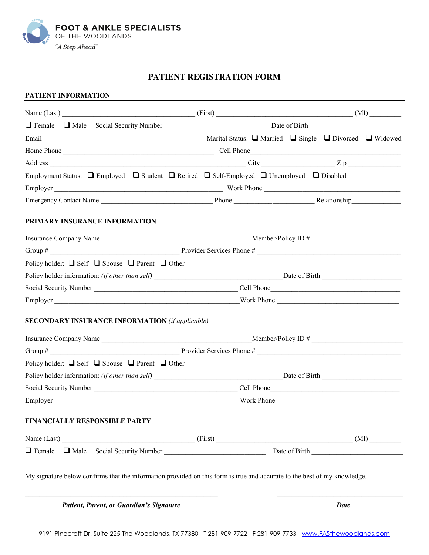

## **PATIENT REGISTRATION FORM**

#### **PATIENT INFORMATION**

| Employment Status: $\Box$ Employed $\Box$ Student $\Box$ Retired $\Box$ Self-Employed $\Box$ Unemployed $\Box$ Disabled  |  |  |  |  |  |  |
|--------------------------------------------------------------------------------------------------------------------------|--|--|--|--|--|--|
|                                                                                                                          |  |  |  |  |  |  |
|                                                                                                                          |  |  |  |  |  |  |
| PRIMARY INSURANCE INFORMATION                                                                                            |  |  |  |  |  |  |
|                                                                                                                          |  |  |  |  |  |  |
|                                                                                                                          |  |  |  |  |  |  |
| Policy holder: $\Box$ Self $\Box$ Spouse $\Box$ Parent $\Box$ Other                                                      |  |  |  |  |  |  |
|                                                                                                                          |  |  |  |  |  |  |
|                                                                                                                          |  |  |  |  |  |  |
|                                                                                                                          |  |  |  |  |  |  |
| <b>SECONDARY INSURANCE INFORMATION</b> (if applicable)                                                                   |  |  |  |  |  |  |
|                                                                                                                          |  |  |  |  |  |  |
|                                                                                                                          |  |  |  |  |  |  |
| Policy holder: $\Box$ Self $\Box$ Spouse $\Box$ Parent $\Box$ Other                                                      |  |  |  |  |  |  |
|                                                                                                                          |  |  |  |  |  |  |
|                                                                                                                          |  |  |  |  |  |  |
|                                                                                                                          |  |  |  |  |  |  |
| FINANCIALLY RESPONSIBLE PARTY                                                                                            |  |  |  |  |  |  |
| Name (Last) (MI) (First) (First) (First) (First) (MI)                                                                    |  |  |  |  |  |  |
| $\Box$ Female                                                                                                            |  |  |  |  |  |  |
| My signature below confirms that the information provided on this form is true and accurate to the best of my knowledge. |  |  |  |  |  |  |

 *Patient, Parent, or Guardian's Signature Date*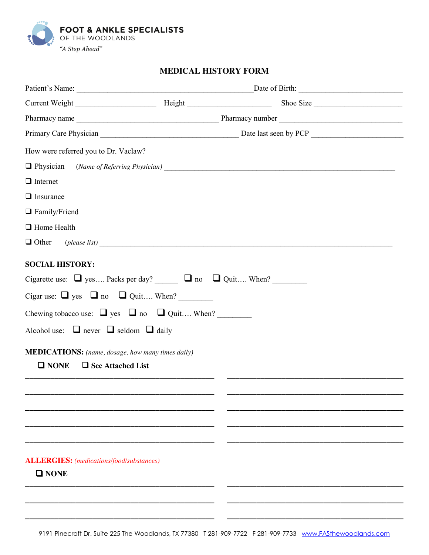

# **MEDICAL HISTORY FORM**

| How were referred you to Dr. Vaclaw?                                                                                                                                                                                                                                                                                                                                              |  |  |  |  |  |
|-----------------------------------------------------------------------------------------------------------------------------------------------------------------------------------------------------------------------------------------------------------------------------------------------------------------------------------------------------------------------------------|--|--|--|--|--|
|                                                                                                                                                                                                                                                                                                                                                                                   |  |  |  |  |  |
| $\Box$ Internet                                                                                                                                                                                                                                                                                                                                                                   |  |  |  |  |  |
| $\Box$ Insurance                                                                                                                                                                                                                                                                                                                                                                  |  |  |  |  |  |
| $\Box$ Family/Friend                                                                                                                                                                                                                                                                                                                                                              |  |  |  |  |  |
| $\Box$ Home Health                                                                                                                                                                                                                                                                                                                                                                |  |  |  |  |  |
| $\Box$ Other (please list)                                                                                                                                                                                                                                                                                                                                                        |  |  |  |  |  |
| <b>SOCIAL HISTORY:</b><br>Cigarette use: $\Box$ yes Packs per day? $\Box$ no $\Box$ Quit When?<br>Cigar use: $\Box$ yes $\Box$ no $\Box$ Quit When?<br>Chewing tobacco use: $\Box$ yes $\Box$ no $\Box$ Quit When?<br>Alcohol use: $\Box$ never $\Box$ seldom $\Box$ daily<br><b>MEDICATIONS:</b> (name, dosage, how many times daily)<br>$\Box$ NONE<br>$\Box$ See Attached List |  |  |  |  |  |
|                                                                                                                                                                                                                                                                                                                                                                                   |  |  |  |  |  |
| <b>ALLERGIES:</b> (medications/food/substances)<br>$\square$ NONE                                                                                                                                                                                                                                                                                                                 |  |  |  |  |  |

**\_\_\_\_\_\_\_\_\_\_\_\_\_\_\_\_\_\_\_\_\_\_\_\_\_\_\_\_\_\_\_\_\_\_\_\_\_\_\_\_\_\_\_\_\_ \_\_\_\_\_\_\_\_\_\_\_\_\_\_\_\_\_\_\_\_\_\_\_\_\_\_\_\_\_\_\_\_\_\_\_\_\_\_\_\_\_\_**